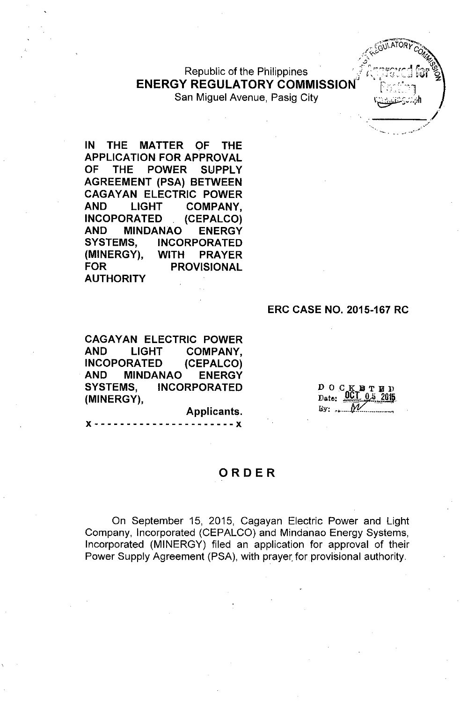Republic of the Philippines **ENERGY REGULATORY COMMISSION** San Miguel Avenue, Pasig City

IN THE MATTER OF THE APPLICATION FOR APPROVAL OF THE POWER SUPPLY AGREEMENT (PSA) BETWEEN **CAGAYAN ELECTRIC POWER** AND LIGHT COMPANY, INCOPORATED (CEPALCO) AND MINDANAO ENERGY SYSTEMS, INCORPORATED (MINERGY), WITH PRAYER FOR PROVISIONAL **AUTHORITY** 

#### ERC CASE NO. 2015-167 RC

 $\mathbb{Z}$  ,  $\mathbb{Z}$  .  $\mathbb{Z}$  .  $\mathbb{Z}$  .  $\mathbb{Z}$  .  $\mathbb{Z}$  .  $\mathbb{Z}$  .  $\mathbb{Z}$  .  $\mathbb{Z}$  .  $\mathbb{Z}$  .  $\mathbb{Z}$  .  $\mathbb{Z}$  .  $\mathbb{Z}$  .  $\mathbb{Z}$  .  $\mathbb{Z}$  .  $\mathbb{Z}$  .  $\mathbb{Z}$  .  $\mathbb{Z}$  .  $\mathbb{Z}$  .  $\mathbb{Z}$  . / C6\)I,ATORyc: . /. ~V' *0", ..•. .f'?'* "'1z

ابن مستع<u>لمات الم</u>

CAGAYAN ELECTRIC POWER AND LIGHT COMPANY, INCOPORATED (CEPALCO) AND MINDANAO ENERGY SYSTEMS, INCORPORATED (MINERGY),

x - - - - - -- -- --- - - - -- --- --x

DOCKBTED<br>Date: 0CT 05 2015  $By:$ 

#### ORDER

Applicants.

On September 15, 2015, Cagayan Electric Power and Light Company, Incorporated (CEPALCO) and Mindanao Energy Systems, Incorporated (MINERGY) filed an application for approval of their Power Supply Agreement (PSA), with prayer for provisional authority.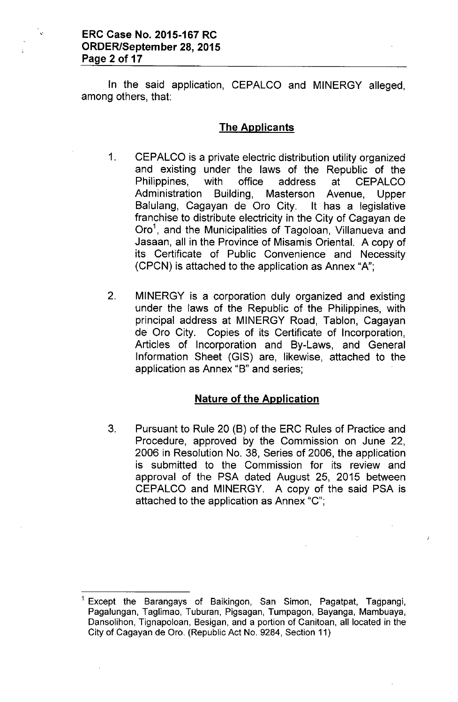In the said application, CEPALCO and MINERGY alleged, among others, that:

#### **The Applicants**

- 1. CEPALCO is a private electric distribution utility organized and existing under the laws of the Republic of the Philippines, with office address at CEPALCO Administration Building, Masterson Avenue, Upper Balulang, Cagayan de Oro City. It has a legislative franchise to distribute electricity in the City of Cagayan de Oro<sup>1</sup>, and the Municipalities of Tagoloan, Villanueva and Jasaan, all in the Province of Misamis Oriental. A copy of its Certificate of Public Convenience and Necessity (CPCN) is attached to the application as Annex "A";
- 2. MINERGY is a corporation duly organized and existing under the laws of the Republic of the Philippines, with principal address at MINERGY Road, Tablon, Cagayan de Oro City. Copies of its Certificate of Incorporation, Articles of Incorporation and By-Laws, and General Information Sheet (GIS) are, likewise, attached to the application as Annex "B" and series;

# **Nature of the Application**

3. Pursuant to Rule 20 (B) of the ERC Rules of Practice and Procedure, approved by the Commission on June 22, 2006 in Resolution No. 38, Series of 2006, the application is submitted to the Commission for its review and approval of the PSA dated August 25, 2015 between CEPALCO and MINERGY. A copy of the said PSA is attached to the application as Annex "C";

Except the Barangays of Baikingon, San Simon, Pagatpat, Tagpangi, Pagalungan, Taglimao, Tuburan, Pigsagan, Tumpagon, Bayanga, Mambuaya, Dansolihon, Tignapoloan, Besigan, and a portion of Canitoan, all located in the City of Cagayan de Oro, (Republic Act No, 9284, Section 11)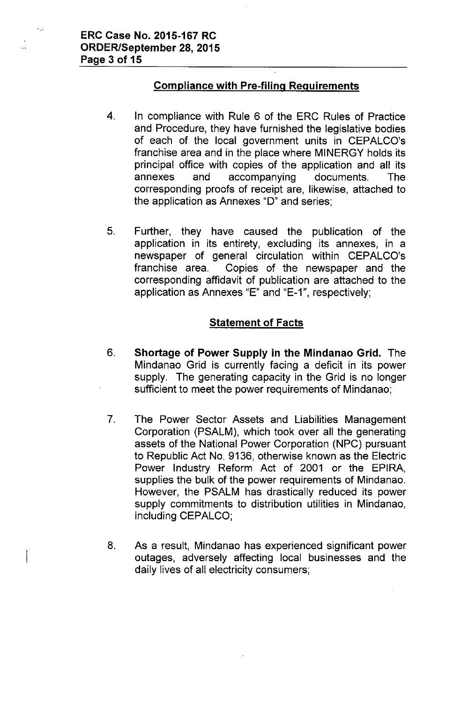$\ddotsc$ 

# Compliance with Pre-filing Requirements

- 4. In compliance with Rule 6 of the ERC Rules of Practice and Procedure, they have furnished the legislative bodies of each of the local government units in CEPALCO's franchise area and in the place where MINERGY holds its principal office with copies of the application and all its annexes and accompanying documents. The corresponding proofs of receipt are, likewise, attached to the application as Annexes "0" and series;
- 5. Further, they have caused the publication of the application in its entirety, excluding its annexes, in a newspaper of general circulation within CEPALCO's franchise area. Copies of the newspaper and the corresponding affidavit of publication are attached to the application as Annexes "E" and "E-1", respectively;

#### **Statement of Facts**

- 6. Shortage of Power Supply in the Mindanao Grid. The Mindanao Grid is currently facing a deficit in its power supply. The generating capacity in the Grid is no longer sufficient to meet the power requirements of Mindanao;
- 7. The Power Sector Assets and Liabilities Management Corporation (PSALM), which took over all the generating assets of the National Power Corporation (NPC) pursuant to Republic Act No. 9136, otherwise known as the Electric Power Industry Reform Act of 2001 or the EPIRA, supplies the bulk of the power requirements of Mindanao. However, the PSALM has drastically reduced its power supply commitments to distribution utilities in Mindanao, including CEPALCO;
- 8. As a result, Mindanao has experienced significant power outages, adversely affecting local businesses and the daily lives of all electricity consumers;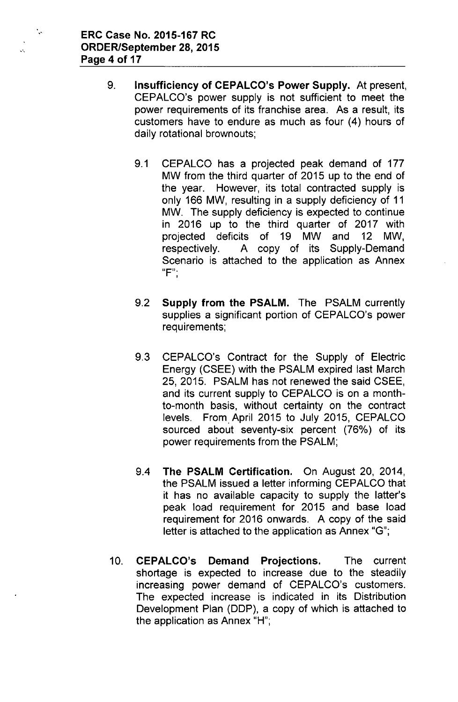$\ddot{\phantom{a}}$ 

 $\mathcal{L}$ 

- 9. **Insufficiency of CEPALCO's Power Supply.** At present, CEPALCO's power supply is not sufficient to meet the power requirements of its franchise area. As a result, its customers have to endure as much as four (4) hours of daily rotational brownouts;
	- 9.1 CEPALCO has a projected peak demand of 177 MW from the third quarter of 2015 up to the end of the year. However, its total contracted supply is only 166 MW, resulting in a supply deficiency of 11 MW. The supply deficiency is expected to continue in 2016 up to the third quarter of 2017 with projected deficits of 19 MW and 12 MW, respectively. A copy of its Supply-Demand Scenario is attached to the application as Annex **(IF"'** ,
	- 9.2 **Supply from the PSALM.** The PSALM currently supplies a significant portion of CEPALCO's power requirements;
	- 9.3 CEPALCO's Contract for the Supply of Electric Energy (CSEE) with the PSALM expired last March 25,2015. PSALM has not renewed the said CSEE, and its current supply to CEPALCO is on a monthto-month basis, without certainty on the contract levels. From April 2015 to July 2015, CEPALCO sourced about seventy-six percent (76%) of its power requirements from the PSALM;
	- 9.4 **The PSALM Certification.** On August 20, 2014, the PSALM issued a letter informing CEPALCO that it has no available capacity to supply the latter's peak load requirement for 2015 and base load requirement for 2016 onwards. A copy of the said letter is attached to the application as Annex "G";
- 10. **CEPALCO's Demand Projections.** The current shortage is expected to increase due to the steadily increasing power demand of CEPALCO's customers. The expected increase is indicated in its Distribution Development Plan (DDP), a copy of which is attached to the application as Annex "H";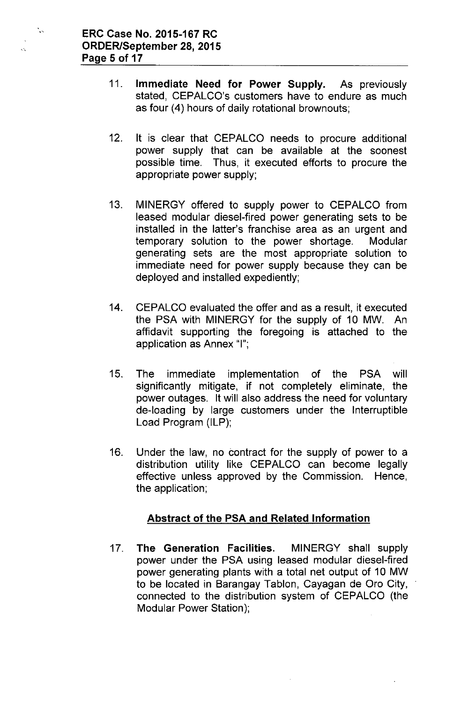$\mathcal{L}_{\mathcal{S}}$ 

- 11. Immediate Need for Power Supply. As previously stated, CEPALCO's customers have to endure as much as four (4) hours of daily rotational brownouts;
- 12. It is clear that CEPALCO needs to procure additional power supply that can be available at the soonest possible time. Thus, it executed efforts to procure the appropriate power supply;
- 13. MINERGY offered to supply power to CEPALCO from leased modular diesel-fired power generating sets to be installed in the latter's franchise area as an urgent and temporary solution to the power shortage. Modular generating sets are the most appropriate solution to immediate need for power supply because they can be deployed and installed expediently;
- 14. CEPALCO evaluated the offer and as a result, it executed the PSA with MINERGY for the supply of 10 MW. An affidavit supporting the foregoing is attached to the application as Annex "I";
- 15. The immediate implementation of the PSA will significantly mitigate, if not completely eliminate, the power outages. It will also address the need for voluntary de-loading by large customers under the Interruptible Load Program (ILP);
- 16. Under the law, no contract for the supply of power to a distribution utility like CEPALCO can become legally effective unless approved by the Commission. Hence, the application;

# Abstract of the PSA and Related Information

17. The Generation Facilities. MINERGY shall supply power under the PSA using leased modular diesel-fired power generating plants with a total net output of 10 MW to be located in Barangay Tablon, Cayagan de Oro City, connected to the distribution system of CEPALCO (the Modular Power Station);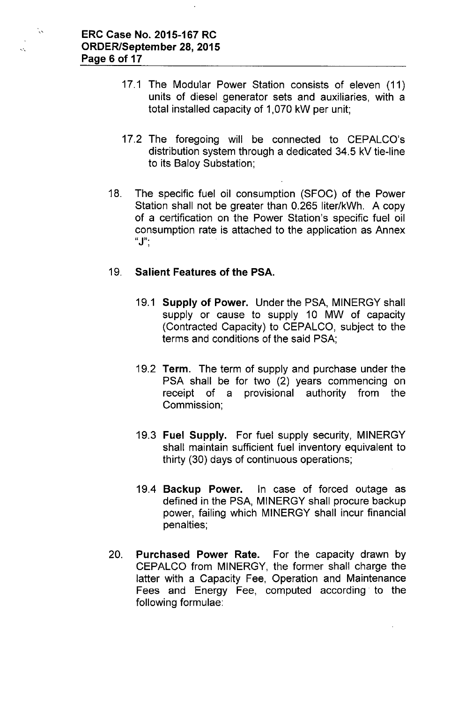N,

- 17.1 The Modular Power Station consists of eleven (11) units of diesel generator sets and auxiliaries, with a total installed capacity of 1,070 kW per unit;
- 17.2 The foregoing will be connected to CEPALCO's distribution system through a dedicated 34.5 kV tie-line to its Baloy Substation;
- 18. The specific fuel oil consumption (SFOC) of the Power Station shall not be greater than 0.265 liter/kWh. A copy of a certification on the Power Station's specific fuel oil consumption rate is attached to the application as Annex  $"J".$

#### 19. Salient Features of the PSA.

- 19.1 Supply of Power. Under the PSA, MINERGY shall supply or cause to supply 10 MW of capacity (Contracted Capacity) to CEPALCO, subject to the terms and conditions of the said PSA;
- 19.2 Term. The term of supply and purchase under the PSA shall be for two (2) years commencing on receipt of a provisional authority from the Commission;
- 19.3 Fuel Supply. For fuel supply security, MINERGY shall maintain sufficient fuel inventory equivalent to thirty (30) days of continuous operations;
- 19.4 Backup Power. In case of forced outage as defined in the PSA, MINERGY shall procure backup power, failing which MINERGY shall incur financial penalties;
- 20. Purchased Power Rate. For the capacity drawn by CEPALCO from MINERGY, the former shall charge the latter with a Capacity Fee, Operation and Maintenance Fees and Energy Fee, computed according. to the following formulae: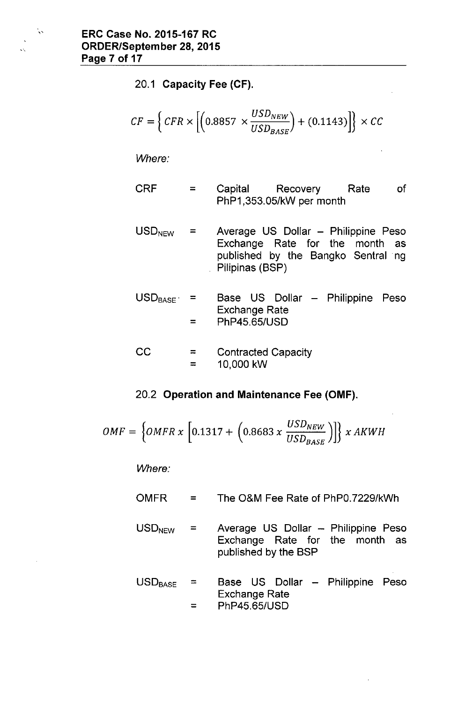$\mathbf{v}_\mathrm{S}$ 

20.1 Capacity Fee (CF).

$$
CF = \left\{ CFR \times \left[ \left( 0.8857 \times \frac{USD_{NEW}}{USD_{BASE}} \right) + (0.1143) \right] \right\} \times CC
$$

*Where:*

- CRF = Capital Recovery Rate PhP1,353.05/kW per month of
- $USD<sub>NEW</sub>$  = Average US Dollar - Philippine Peso Exchange Rate for the month as published by the Bangko Sentral ng Pilipinas (BSP)
- $USD_{BASE}$  =  $=$ Base US Dollar - Philippine Peso Exchange Rate PhP45.65/USD

$$
CC = Contracted Capacity\n= 10,000 kW
$$

#### 20.2 Operation and Maintenance Fee (OMF).

$$
OMF = \left\{OMFR \times \left[0.1317 + \left(0.8683 \times \frac{USD_{NEW}}{USD_{BASE}}\right)\right]\right\} \times AKWH
$$

*Where:*

- $OMFR =$ The O&M Fee Rate of PhPO.7229/kWh
- $USD<sub>NEW</sub>$  = Average US Dollar - Philippine Peso Exchange Rate for the month as published by the BSP
- $USD<sub>BASE</sub>$  = = Base US Dollar Philippine PesoExchange Rate PhP45.65/USD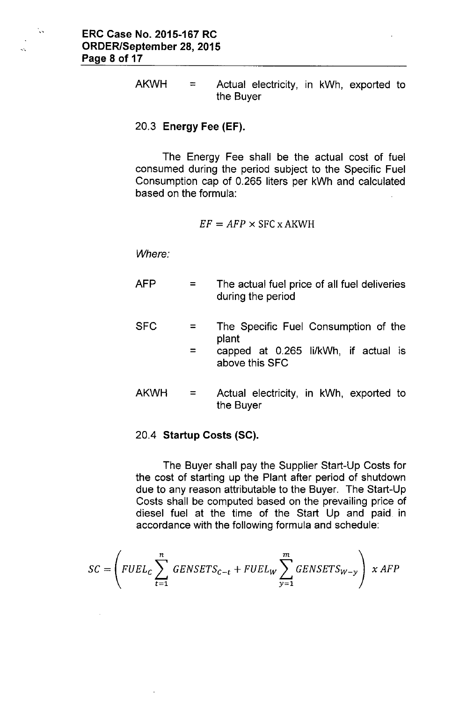$\mathcal{L}_{\mathcal{A}}$ 

 $AKWH =$  Actual electricity, in kWh, exported to the Buyer

#### 20.3 Energy Fee (EF).

The Energy Fee shall be the actual cost of fuel consumed during the period subject to the Specific Fuel Consumption cap of 0.265 liters per kWh and calculated based on the formula:

$$
EF = AFP \times \text{SFC} \times \text{AKWH}
$$

*Where:*

AFP SFC AKWH =  $=$ = = The actual fuel price of all fuel deliveries during the period The Specific Fuel Consumption of the plant capped at 0.265 li/kWh, if actual is above this SFC Actual electricity, in kWh, exported to the Buyer

# 20.4 Startup Costs (SC).

The Buyer shall pay the Supplier Start-Up Costs for the cost of starting up the Plant after period of shutdown due to any reason attributable to the Buyer. The Start-Up Costs shall be computed based on the prevailing price of diesel fuel at the time of the Start Up and paid in accordance with the following formula and schedule:

$$
SC = \left(FUEL_C \sum_{t=1}^{n} GENSETS_{C-t} + FUEL_W \sum_{y=1}^{m} GENSETS_{W-y}\right) \times AFP
$$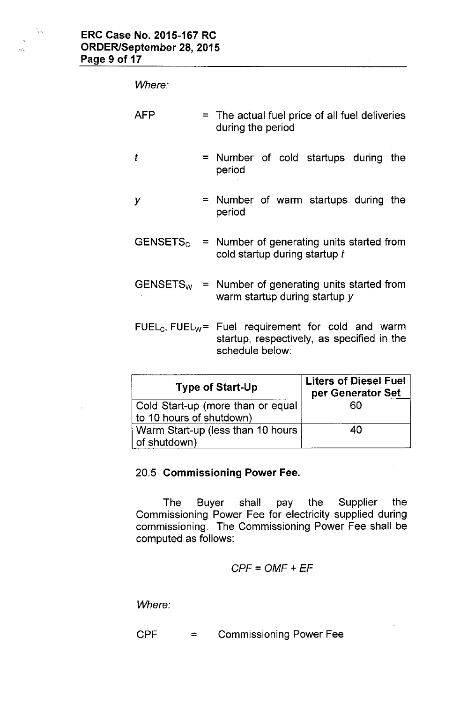$\frac{1}{2}$  ,

 $\ddotsc$ 

*Where:*

| <b>AFP</b> | = The actual fuel price of all fuel deliveries<br>during the period                                                               |  |  |  |  |
|------------|-----------------------------------------------------------------------------------------------------------------------------------|--|--|--|--|
| t          | = Number of cold startups during<br>the<br>period                                                                                 |  |  |  |  |
| у          | $=$ Number of warm startups during the<br>period                                                                                  |  |  |  |  |
|            | $GENSETSc$ = Number of generating units started from<br>cold startup during startup t                                             |  |  |  |  |
|            | $GENSETSw$ = Number of generating units started from<br>warm startup during startup y                                             |  |  |  |  |
|            | $FUELc$ , FUEL <sub>W</sub> = Fuel requirement for cold and warm<br>startup, respectively, as specified in the<br>schedule below: |  |  |  |  |

 $\bar{\mathcal{A}}$ 

| <b>Type of Start-Up</b>                                        | <b>Liters of Diesel Fuel</b><br>per Generator Set |  |  |
|----------------------------------------------------------------|---------------------------------------------------|--|--|
| Cold Start-up (more than or equal)<br>to 10 hours of shutdown) | 60                                                |  |  |
| Warm Start-up (less than 10 hours<br>of shutdown)              | 40                                                |  |  |

# 20.5 Commissioning Power Fee.

The Buyer shall pay the Supplier the Commissioning Power Fee for electricity supplied during commissioning. The Commissioning Power Fee shall be computed as follows:

$$
CPF = OMF + EF
$$

*Where:*

$$
CPF = \text{Commissioning Power} \quad \text{See}
$$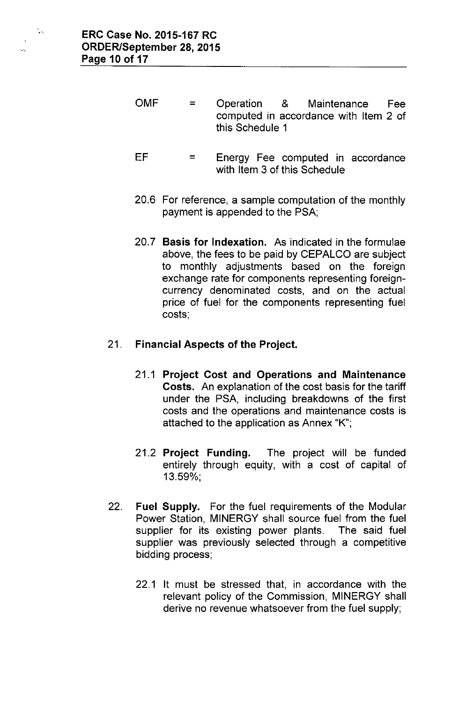- OMF  $=$ Operation & Maintenance Fee computed in accordance with Item 2 of this Schedule 1
- EF  $\equiv$ Energy Fee computed in accordance with Item 3 of this Schedule
- 20.6 For reference, a sample computation of the monthly payment is appended to the PSA;
- 20.7 **Basis for Indexation.** As indicated in the formulae above, the fees to be paid by CEPALCO are subject to monthly adjustments based on the foreign exchange rate for components representing foreigncurrency denominated costs, and on the actual price of fuel for the components representing fuel costs;

### 21. **Financial Aspects of the Project.**

- 21.1 **Project Cost and Operations and Maintenance Costs.** An explanation of the cost basis for the tariff under the PSA, including breakdowns of the first costs and the operations and maintenance costs is attached to the application as Annex "K";
- 21.2 **Project Funding.** The project will be funded entirely through equity, with a cost of capital of 13.59%;
- 22. **Fuel Supply.** For the fuel requirements of the Modular Power Station, MINERGY shall source fuel from the fuel supplier for its existing power plants. The said fuel supplier was previously selected through a competitive bidding process;
	- 22.1 It must be stressed that, in accordance with the relevant policy of the Commission, MINERGY shall derive no revenue whatsoever from the fuel supply;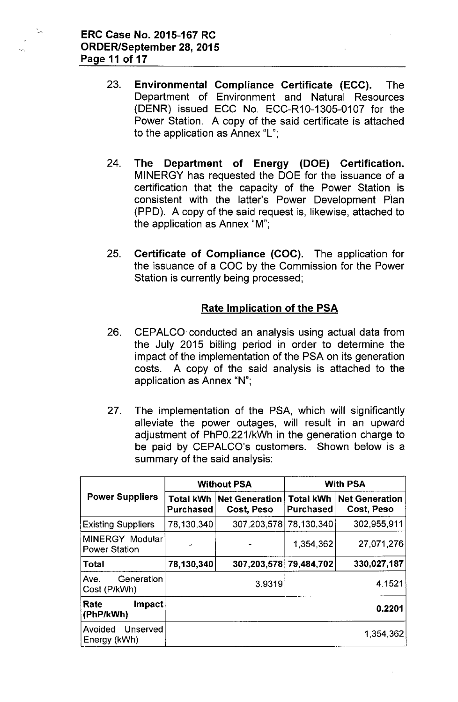认

- 23. Environmental Compliance Certificate (ECC). The Department of Environment and Natural Resources (DENR) issued ECC No. ECC-R10-1305-0107 for the Power Station. A copy of the said certificate is attached to the application as Annex "L";
- 24. The Department of Energy (DOE) Certification. MINERGY has requested the DOE for the issuance of a certification that the capacity of the Power Station is consistent with the latter's Power Development Plan (PPD). A copy of the said request is, likewise, attached to the application as Annex "M";
- 25. Certificate of Compliance (COC). The application for the issuance of a COC by the Commission for the Power Station is currently being processed;

### Rate Implication of the PSA

- 26. CEPALCO conducted an analysis using actual data from the July 2015 billing period in order to determine the impact of the implementation of the PSA on its generation costs. A copy of the said analysis is attached to the application as Annex "N";
- 27. The implementation of the PSA, which will significantly alleviate the power outages, will result in an upward adjustment of PhPO.221/kWh in the generation charge to be paid by CEPALCO's customers. Shown below is a summary of the said analysis:

|                                         |                               | <b>Without PSA</b>                  | <b>With PSA</b>                      |                                     |
|-----------------------------------------|-------------------------------|-------------------------------------|--------------------------------------|-------------------------------------|
| <b>Power Suppliers</b>                  | <b>Total kWh</b><br>Purchased | <b>Net Generation</b><br>Cost, Peso | <b>Total kWh</b><br><b>Purchased</b> | <b>Net Generation</b><br>Cost, Peso |
| <b>Existing Suppliers</b>               | 78,130,340                    | 307,203,578                         | 78,130,340                           | 302,955,911                         |
| MINERGY Modular<br><b>Power Station</b> |                               |                                     | 1,354,362                            | 27,071,276                          |
| <b>Total</b>                            | 78,130,340                    | 307,203,578 79,484,702              |                                      | 330,027,187                         |
| Generation<br>Ave.<br>Cost (P/kWh)      |                               | 3.9319                              |                                      | 4.1521                              |
| Rate<br>Impact<br>(PhP/kWh)             |                               |                                     |                                      | 0.2201                              |
| Avoided<br>Unserved<br>Energy (kWh)     |                               |                                     |                                      | 1,354,362                           |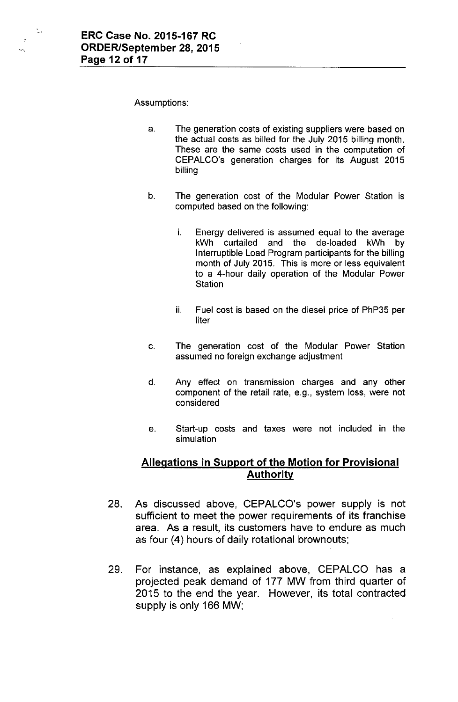Ñ.

Ŵ.

Assumptions:

- a. The generation costs of existing suppliers were based on the actual costs as billed for the July 2015 billing month. These are the same costs used in the computation of CEPALCO's generation charges for its August 2015 billing
- b. The generation cost of the Modular Power Station is computed based on the following:
	- i. Energy delivered is assumed equal to the average kWh curtailed and the de-loaded kWh by Interruptible Load Program participants for the billing month of July 2015. This is more or less equivalent to a 4-hour daily operation of the Modular Power **Station**
	- ii. Fuel cost is based on the diesel price of PhP35 per liter
- c. The generation cost of the Modular Power Station assumed no foreign exchange adjustment
- d. Any effect on transmission charges and any other component of the retail rate, e.g., system loss, were not considered
- e. Start-up costs and taxes were not included in the simulation

#### **Allegations in Support of the Motion for Provisional Authoritv**

- 28. As discussed above, CEPALCO's power supply is not sufficient to meet the power requirements of its franchise area. As a result, its customers have to endure as much as four (4) hours of daily rotational brownouts;
- 29. For instance, as explained above, CEPALCO has a projected peak demand of 177 MW from third quarter of 2015 to the end the year. However, its total contracted supply is only 166 MW;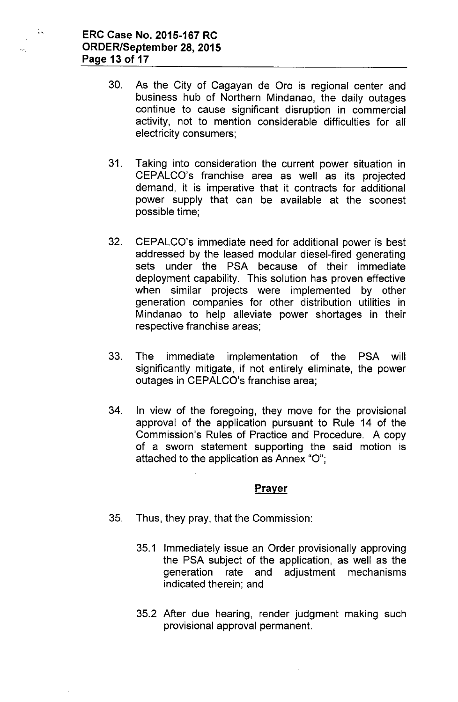ζk,

- 30. As the City of Cagayan de Oro is regional center and business hub of Northern Mindanao, the daily outages continue to cause significant disruption in commercial activity, not to mention considerable difficulties for all electricity consumers;
- 31. Taking into consideration the current power situation in CEPALCO's franchise area as well as its projected demand, it is imperative that it contracts for additional power supply that can be available at the soonest possible time;
- 32. CEPALCO's immediate need for additional power is best addressed by the leased modular diesel-fired generating sets under the PSA because of their immediate deployment capability. This solution has proven effective when similar projects were implemented by other generation companies for other distribution utilities in Mindanao to help alleviate power shortages in their respective franchise areas;
- 33. The immediate implementation of the PSA will significantly mitigate, if not entirely eliminate, the power outages in CEPALCO's franchise area;
- 34. In view of the foregoing, they move for the provisional approval of the application pursuant to Rule 14 of the Commission's Rules of Practice and Procedure. A copy of a sworn statement supporting the said motion is attached to the application as Annex "0";

#### **Prayer**

- 35. Thus, they pray, that the Commission:
	- 35.1 Immediately issue an Order provisionally approving the PSA subject of the application, as well as the generation rate and adjustment mechanisms indicated therein; and
	- 35.2 After due hearing, render judgment making such provisional approval permanent.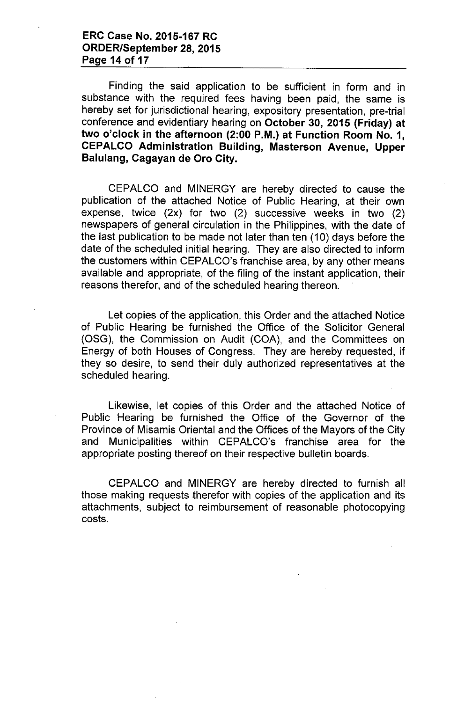Finding the said application to be sufficient in form and in substance with the required fees having been paid, the same is hereby set for jurisdictional hearing, expository presentation, pre-trial conference and evidentiary hearing on October 30, 2015 (Friday) at two o'clock in the afternoon (2:00 P.M.) at Function Room No.1, CEPALCO Administration Building, Masterson Avenue, Upper Balulang, Cagayan de Oro City.

CEPALCO and MINERGY are hereby directed to cause the publication of the attached Notice of Public Hearing, at their own expense, twice (2x) for two (2) successive weeks in two (2) newspapers of general circulation in the Philippines, with the date of the last publication to be made not later than ten (10) days before the date of the scheduled initial hearing. They are also directed to inform the customers within CEPALCO's franchise area, by any other means available and appropriate, of the filing of the instant application, their reasons therefor, and of the scheduled hearing thereon.

Let copies of the application, this Order and the attached Notice of Public Hearing be furnished the Office of the Solicitor General (OSG), the Commission on Audit (COA), and the Committees on Energy of both Houses of Congress. They are hereby requested, if they so desire, to send their duly authorized representatives at the scheduled hearing.

Likewise, let copies of this Order and the attached Notice of Public Hearing be furnished the Office of the Governor of the Province of Misamis Oriental and the Offices of the Mayors of the City and Municipalities within CEPALCO's franchise area for the appropriate posting thereof on their respective bulletin boards.

CEPALCO and MINERGY are hereby directed to furnish all those making requests therefor with copies of the application and its attachments, subject to reimbursement of reasonable photocopying costs.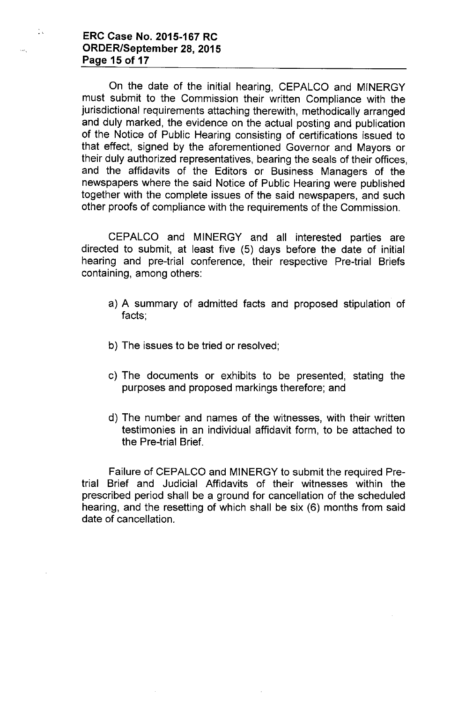**ERC Case No. 2015-167 RC ORDER/September** 28, **2015 Page 15 of 17**

 $\mathbb{Z}_k$ 

On the date of the initial hearing, CEPALCO and MINERGY must submit to the Commission their written Compliance with the jurisdictional requirements attaching therewith, methodically arranged and duly marked, the evidence on the actual posting and publication of the Notice of Public Hearing consisting of certifications issued to that effect, signed by the aforementioned Governor and Mayors or their duly authorized representatives, bearing the seals of their offices, and the affidavits of the Editors or Business Managers of the newspapers where the said Notice of Public Hearing were published together with the complete issues of the said newspapers, and such other proofs of compliance with the requirements of the Commission.

CEPALCO and MINERGY and all interested parties are directed to submit, at least five (5) days before the date of initial hearing and pre-trial conference, their respective Pre-trial Briefs containing, among others:

- a) A summary of admitted facts and proposed stipulation of facts;
- b) The issues to be tried or resolved;
- c) The documents or exhibits to be presented; stating the purposes and proposed markings therefore; and
- d) The number and names of the witnesses, with their written testimonies in an individual affidavit form, to be attached to the Pre-trial Brief.

Failure of CEPALCO and MINERGY to submit the required Pretrial Brief and Judicial Affidavits of their witnesses within the prescribed period shall be a ground for cancellation of the scheduled hearing, and the resetting of which shall be six (6) months from said date of cancellation.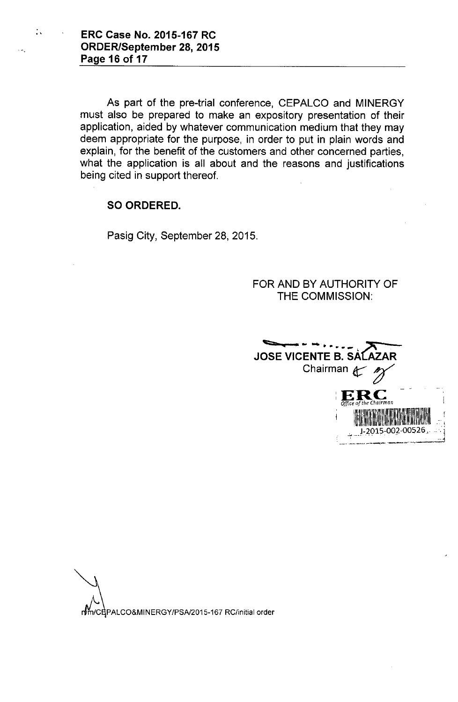.' ERC Case No. 2015-167 RC ORDER/September 28, 2015 Page 16 of 17

> As part of the pre-trial conference, CEPALCO and MINERGY must also be prepared to make an expository presentation of their application, aided by whatever communication medium that they may deem appropriate for the purpose, in order to put in plain words and explain, for the benefit of the customers and other concerned parties, what the application is all about and the reasons and justifications being cited in support thereof.

### SO ORDERED.

Pasig City, September 28, 2015.

FOR AND BY AUTHORITY OF THE COMMISSION:



rtm/CEPALCO&MINERGY/PSA/2015-167 RC/initial order